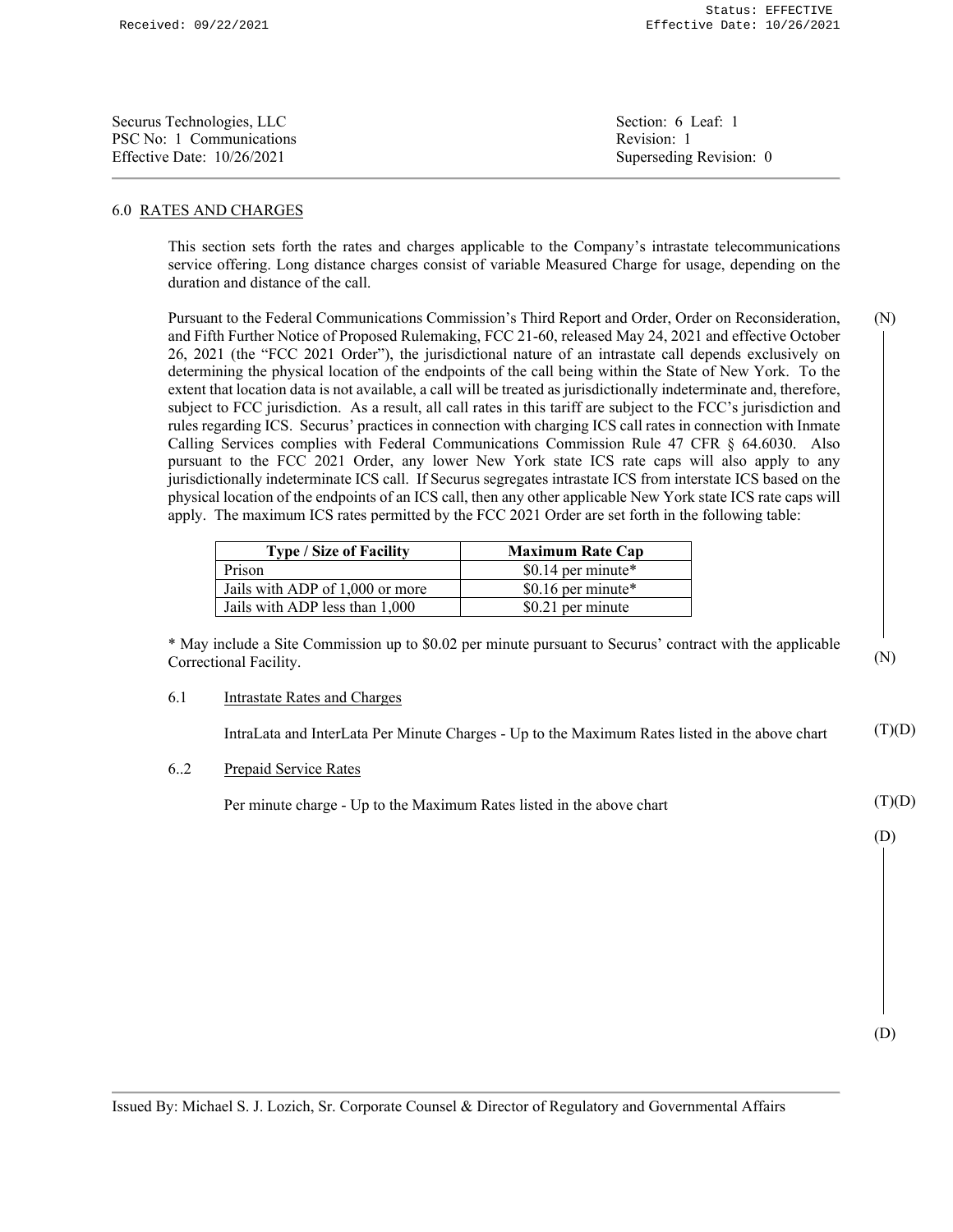| Securus Technologies, LLC    | Section: 6 Leaf: 1      |
|------------------------------|-------------------------|
| PSC No: 1 Communications     | Revision: 1             |
| Effective Date: $10/26/2021$ | Superseding Revision: 0 |

## 6.0 RATES AND CHARGES

This section sets forth the rates and charges applicable to the Company's intrastate telecommunications service offering. Long distance charges consist of variable Measured Charge for usage, depending on the duration and distance of the call.

Pursuant to the Federal Communications Commission's Third Report and Order, Order on Reconsideration, and Fifth Further Notice of Proposed Rulemaking, FCC 21-60, released May 24, 2021 and effective October 26, 2021 (the "FCC 2021 Order"), the jurisdictional nature of an intrastate call depends exclusively on determining the physical location of the endpoints of the call being within the State of New York. To the extent that location data is not available, a call will be treated as jurisdictionally indeterminate and, therefore, subject to FCC jurisdiction. As a result, all call rates in this tariff are subject to the FCC's jurisdiction and rules regarding ICS. Securus' practices in connection with charging ICS call rates in connection with Inmate Calling Services complies with Federal Communications Commission Rule 47 CFR § 64.6030. Also pursuant to the FCC 2021 Order, any lower New York state ICS rate caps will also apply to any jurisdictionally indeterminate ICS call. If Securus segregates intrastate ICS from interstate ICS based on the physical location of the endpoints of an ICS call, then any other applicable New York state ICS rate caps will apply. The maximum ICS rates permitted by the FCC 2021 Order are set forth in the following table: (N)

| <b>Type / Size of Facility</b>  | <b>Maximum Rate Cap</b> |
|---------------------------------|-------------------------|
| Prison                          | \$0.14 per minute*      |
| Jails with ADP of 1,000 or more | \$0.16 per minute $*$   |
| Jails with ADP less than 1,000  | \$0.21 per minute       |

\* May include a Site Commission up to \$0.02 per minute pursuant to Securus' contract with the applicable Correctional Facility.

## 6.1 Intrastate Rates and Charges

 IntraLata and InterLata Per Minute Charges - Up to the Maximum Rates listed in the above chart  $(T)(D)$ 

6..2 Prepaid Service Rates

Per minute charge - Up to the Maximum Rates listed in the above chart

(N)

 $(T)(D)$ 

(D)

(D)